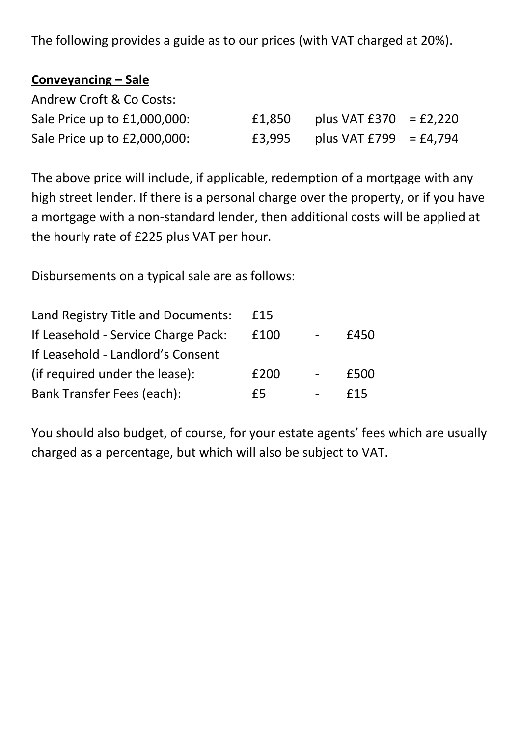The following provides a guide as to our prices (with VAT charged at 20%).

| Conveyancing – Sale          |        |                          |  |
|------------------------------|--------|--------------------------|--|
| Andrew Croft & Co Costs:     |        |                          |  |
| Sale Price up to £1,000,000: | £1,850 | plus VAT $£370 = £2,220$ |  |
| Sale Price up to £2,000,000: | £3,995 | plus VAT £799 = £4,794   |  |

The above price will include, if applicable, redemption of a mortgage with any high street lender. If there is a personal charge over the property, or if you have a mortgage with a non-standard lender, then additional costs will be applied at the hourly rate of £225 plus VAT per hour.

Disbursements on a typical sale are as follows:

| £15  |      |
|------|------|
| £100 | £450 |
|      |      |
| £200 | £500 |
| f5   | f15  |
|      |      |

You should also budget, of course, for your estate agents' fees which are usually charged as a percentage, but which will also be subject to VAT.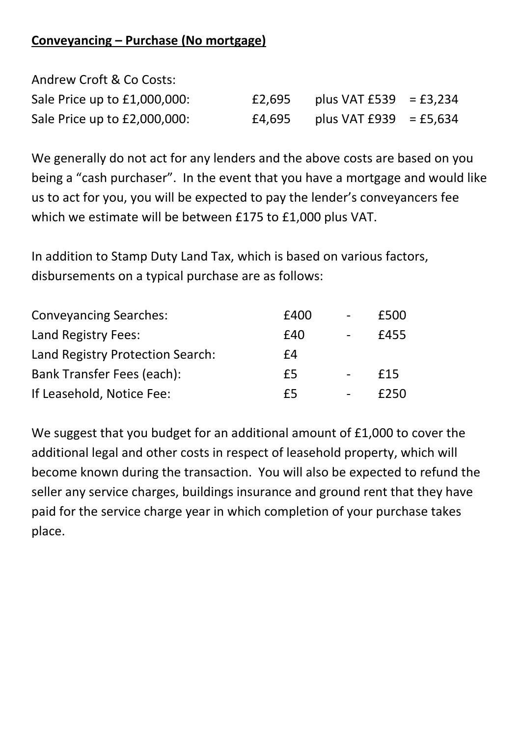## **Conveyancing – Purchase (No mortgage)**

| Andrew Croft & Co Costs:     |        |                          |  |
|------------------------------|--------|--------------------------|--|
| Sale Price up to £1,000,000: | £2,695 | plus VAT $£539 = £3,234$ |  |
| Sale Price up to £2,000,000: | £4,695 | plus VAT $£939 = £5,634$ |  |

We generally do not act for any lenders and the above costs are based on you being a "cash purchaser". In the event that you have a mortgage and would like us to act for you, you will be expected to pay the lender's conveyancers fee which we estimate will be between £175 to £1,000 plus VAT.

In addition to Stamp Duty Land Tax, which is based on various factors, disbursements on a typical purchase are as follows:

| <b>Conveyancing Searches:</b>    | £400 | $\overline{\phantom{a}}$ | £500 |
|----------------------------------|------|--------------------------|------|
| Land Registry Fees:              | £40  |                          | £455 |
| Land Registry Protection Search: | f4   |                          |      |
| Bank Transfer Fees (each):       | £5   |                          | £15  |
| If Leasehold, Notice Fee:        | f5   |                          | £250 |

We suggest that you budget for an additional amount of £1,000 to cover the additional legal and other costs in respect of leasehold property, which will become known during the transaction. You will also be expected to refund the seller any service charges, buildings insurance and ground rent that they have paid for the service charge year in which completion of your purchase takes place.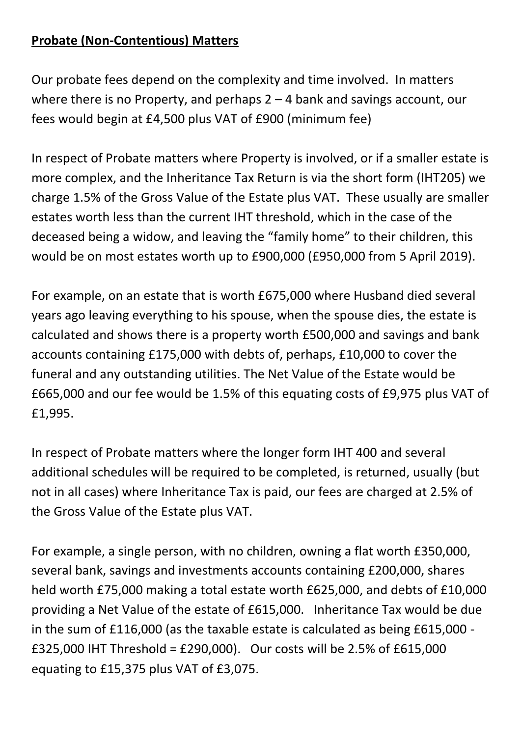## **Probate (Non-Contentious) Matters**

Our probate fees depend on the complexity and time involved. In matters where there is no Property, and perhaps 2 – 4 bank and savings account, our fees would begin at £4,500 plus VAT of £900 (minimum fee)

In respect of Probate matters where Property is involved, or if a smaller estate is more complex, and the Inheritance Tax Return is via the short form (IHT205) we charge 1.5% of the Gross Value of the Estate plus VAT. These usually are smaller estates worth less than the current IHT threshold, which in the case of the deceased being a widow, and leaving the "family home" to their children, this would be on most estates worth up to £900,000 (£950,000 from 5 April 2019).

For example, on an estate that is worth £675,000 where Husband died several years ago leaving everything to his spouse, when the spouse dies, the estate is calculated and shows there is a property worth £500,000 and savings and bank accounts containing £175,000 with debts of, perhaps, £10,000 to cover the funeral and any outstanding utilities. The Net Value of the Estate would be £665,000 and our fee would be 1.5% of this equating costs of £9,975 plus VAT of £1,995.

In respect of Probate matters where the longer form IHT 400 and several additional schedules will be required to be completed, is returned, usually (but not in all cases) where Inheritance Tax is paid, our fees are charged at 2.5% of the Gross Value of the Estate plus VAT.

For example, a single person, with no children, owning a flat worth £350,000, several bank, savings and investments accounts containing £200,000, shares held worth £75,000 making a total estate worth £625,000, and debts of £10,000 providing a Net Value of the estate of £615,000. Inheritance Tax would be due in the sum of £116,000 (as the taxable estate is calculated as being £615,000 - £325,000 IHT Threshold = £290,000). Our costs will be 2.5% of £615,000 equating to £15,375 plus VAT of £3,075.